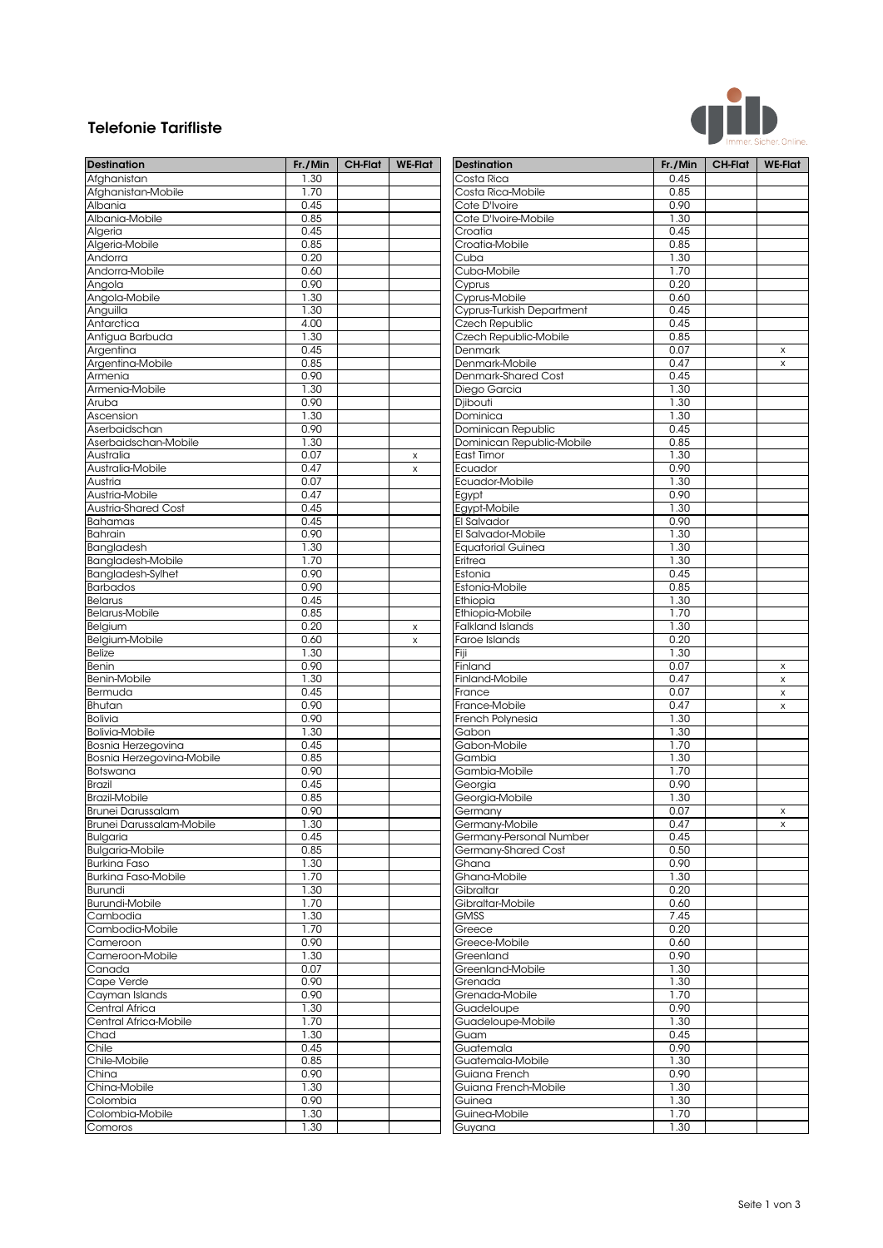

## Telefonie Tarifliste

| <b>Destination</b>                        | Fr./Min      | <b>CH-Flat</b> | <b>WE-Flat</b> | <b>Destination</b>           | Fr./Min      | <b>CH-Flat</b> | <b>WE-Flat</b> |
|-------------------------------------------|--------------|----------------|----------------|------------------------------|--------------|----------------|----------------|
| Afghanistan                               | 1.30         |                |                | Costa Rica                   | 0.45         |                |                |
| Afghanistan-Mobile                        | 1.70         |                |                | Costa Rica-Mobile            | 0.85         |                |                |
| Albania                                   | 0.45         |                |                | Cote D'Ivoire                | 0.90         |                |                |
| Albania-Mobile                            | 0.85         |                |                | Cote D'Ivoire-Mobile         | 1.30         |                |                |
| Algeria                                   | 0.45         |                |                | Croatia                      | 0.45         |                |                |
| Algeria-Mobile                            | 0.85         |                |                | Croatia-Mobile               | 0.85         |                |                |
| Andorra                                   | 0.20         |                |                | Cuba                         | 1.30         |                |                |
| Andorra-Mobile                            | 0.60         |                |                | Cuba-Mobile                  | 1.70         |                |                |
| Angola                                    | 0.90         |                |                | Cyprus                       | 0.20         |                |                |
| Angola-Mobile                             | 1.30         |                |                | Cyprus-Mobile                | 0.60         |                |                |
| Anguilla<br>Antarctica                    | 1.30         |                |                | Cyprus-Turkish Department    | 0.45         |                |                |
|                                           | 4.00<br>1.30 |                |                | Czech Republic               | 0.45         |                |                |
| Antigua Barbuda                           |              |                |                | Czech Republic-Mobile        | 0.85         |                |                |
| Argentina<br>Argentina-Mobile             | 0.45<br>0.85 |                |                | Denmark<br>Denmark-Mobile    | 0.07<br>0.47 |                | X              |
| Armenia                                   | 0.90         |                |                | <b>Denmark-Shared Cost</b>   | 0.45         |                | X              |
| Armenia-Mobile                            | 1.30         |                |                | Diego Garcia                 | 1.30         |                |                |
| Aruba                                     | 0.90         |                |                | Djibouti                     | 1.30         |                |                |
| Ascension                                 | 1.30         |                |                | Dominica                     | 1.30         |                |                |
| Aserbaidschan                             | 0.90         |                |                | Dominican Republic           | 0.45         |                |                |
| Aserbaidschan-Mobile                      | 1.30         |                |                | Dominican Republic-Mobile    | 0.85         |                |                |
| Australia                                 | 0.07         |                | x              | East Timor                   | 1.30         |                |                |
| Australia-Mobile                          | 0.47         |                | x              | Ecuador                      | 0.90         |                |                |
| Austria                                   | 0.07         |                |                | Ecuador-Mobile               | 1.30         |                |                |
| Austria-Mobile                            | 0.47         |                |                | Egypt                        | 0.90         |                |                |
| <b>Austria-Shared Cost</b>                | 0.45         |                |                | Egypt-Mobile                 | 1.30         |                |                |
| <b>Bahamas</b>                            | 0.45         |                |                | El Salvador                  | 0.90         |                |                |
| Bahrain                                   | 0.90         |                |                | El Salvador-Mobile           | 1.30         |                |                |
| Bangladesh                                | 1.30         |                |                | <b>Equatorial Guinea</b>     | 1.30         |                |                |
| <b>Bangladesh-Mobile</b>                  | 1.70         |                |                | Eritrea                      | 1.30         |                |                |
| Bangladesh-Sylhet                         | 0.90         |                |                | Estonia                      | 0.45         |                |                |
| <b>Barbados</b>                           | 0.90         |                |                | Estonia-Mobile               | 0.85         |                |                |
| <b>Belarus</b>                            | 0.45         |                |                | Ethiopia                     | 1.30         |                |                |
| <b>Belarus-Mobile</b>                     | 0.85         |                |                | Ethiopia-Mobile              | 1.70         |                |                |
| Belgium                                   | 0.20         |                | X              | Falkland Islands             | 1.30         |                |                |
| Belgium-Mobile                            | 0.60         |                | X              | Faroe Islands                | 0.20         |                |                |
| Belize                                    | 1.30         |                |                | Fiji                         | 1.30         |                |                |
| Benin                                     | 0.90         |                |                | Finland                      | 0.07         |                | X              |
| <b>Benin-Mobile</b>                       | 1.30         |                |                | Finland-Mobile               | 0.47         |                | $\mathsf X$    |
| Bermuda                                   | 0.45         |                |                | France                       | 0.07         |                | X              |
| <b>Bhutan</b>                             | 0.90         |                |                | France-Mobile                | 0.47         |                | X              |
| <b>Bolivia</b>                            | 0.90         |                |                | French Polynesia             | 1.30         |                |                |
| <b>Bolivia-Mobile</b>                     | 1.30         |                |                | Gabon                        | 1.30         |                |                |
| <b>Bosnia Herzegovina</b>                 | 0.45         |                |                | Gabon-Mobile                 | 1.70         |                |                |
| Bosnia Herzegovina-Mobile                 | 0.85         |                |                | Gambia                       | 1.30         |                |                |
| Botswana                                  | 0.90         |                |                | Gambia-Mobile                | 1.70         |                |                |
| <b>Brazil</b>                             | 0.45         |                |                | Georgia                      | 0.90         |                |                |
| <b>Brazil-Mobile</b>                      | 0.85         |                |                | Georgia-Mobile               | 1.30         |                |                |
| <b>Brunei Darussalam</b>                  | 0.90         |                |                | Germany                      | 0.07         |                | х              |
| Brunei Darussalam-Mobile                  | 1.30         |                |                | Germany-Mobile               | 0.47         |                | $\mathsf{x}$   |
| <b>Bulgaria</b><br><b>Bulgaria-Mobile</b> | 0.45<br>0.85 |                |                | Germany-Personal Number      | 0.45<br>0.50 |                |                |
| <b>Burkina Faso</b>                       | 1.30         |                |                | Germany-Shared Cost<br>Ghana | 0.90         |                |                |
| <b>Burkina Faso-Mobile</b>                | 1.70         |                |                | Ghana-Mobile                 | 1.30         |                |                |
| Burundi                                   | 1.30         |                |                | Gibraltar                    | 0.20         |                |                |
| <b>Burundi-Mobile</b>                     | 1.70         |                |                | Gibraltar-Mobile             | 0.60         |                |                |
| Cambodia                                  | 1.30         |                |                | <b>GMSS</b>                  | 7.45         |                |                |
| Cambodia-Mobile                           | 1.70         |                |                | Greece                       | 0.20         |                |                |
| Cameroon                                  | 0.90         |                |                | Greece-Mobile                | 0.60         |                |                |
| Cameroon-Mobile                           | 1.30         |                |                | Greenland                    | 0.90         |                |                |
| Canada                                    | 0.07         |                |                | Greenland-Mobile             | 1.30         |                |                |
| Cape Verde                                | 0.90         |                |                | Grenada                      | 1.30         |                |                |
| Cayman Islands                            | 0.90         |                |                | Grenada-Mobile               | 1.70         |                |                |
| Central Africa                            | 1.30         |                |                | Guadeloupe                   | 0.90         |                |                |
| Central Africa-Mobile                     | 1.70         |                |                | Guadeloupe-Mobile            | 1.30         |                |                |
| Chad                                      | 1.30         |                |                | Guam                         | 0.45         |                |                |
| Chile                                     | 0.45         |                |                | Guatemala                    | 0.90         |                |                |
| Chile-Mobile                              | 0.85         |                |                | Guatemala-Mobile             | 1.30         |                |                |
| China                                     | 0.90         |                |                | Guiana French                | 0.90         |                |                |
| China-Mobile                              | 1.30         |                |                | Guiana French-Mobile         | 1.30         |                |                |
| Colombia                                  | 0.90         |                |                | Guinea                       | 1.30         |                |                |
| Colombia-Mobile                           | 1.30         |                |                | Guinea-Mobile                | 1.70         |                |                |
| Comoros                                   | 1.30         |                |                | Guyana                       | 1.30         |                |                |
|                                           |              |                |                |                              |              |                |                |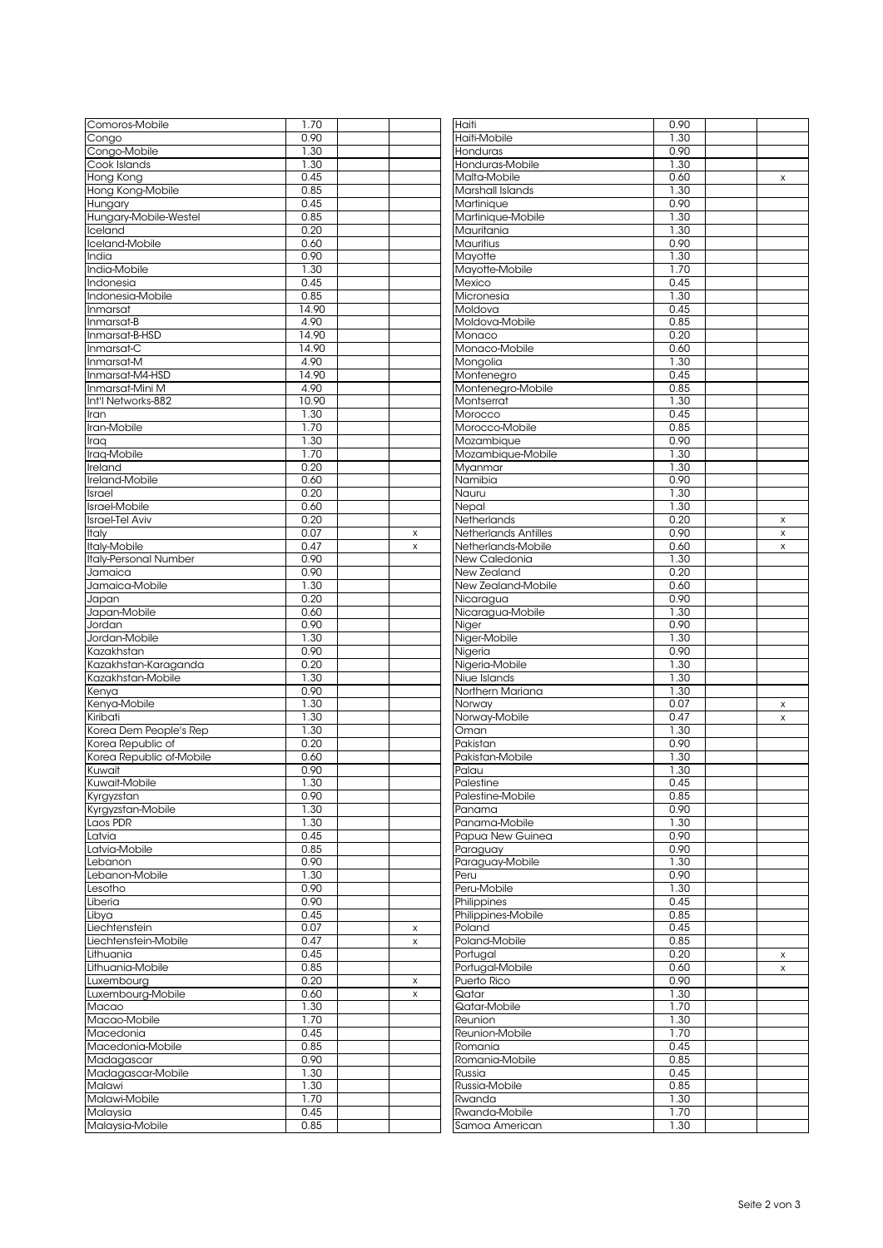| Comoros-Mobile               | 1.70         |   | Haiti                           | 0.90         |   |
|------------------------------|--------------|---|---------------------------------|--------------|---|
| Congo                        | 0.90         |   | Haiti-Mobile                    | 1.30         |   |
|                              | 1.30         |   |                                 | 0.90         |   |
| Congo-Mobile                 | 1.30         |   | Honduras                        |              |   |
| Cook Islands                 |              |   | Honduras-Mobile                 | 1.30         |   |
| Hong Kong                    | 0.45         |   | Malta-Mobile                    | 0.60         | X |
| Hong Kong-Mobile             | 0.85         |   | Marshall Islands                | 1.30         |   |
| Hungary                      | 0.45         |   | Martinique                      | 0.90         |   |
| Hungary-Mobile-Westel        | 0.85         |   | Martinique-Mobile               | 1.30         |   |
| Iceland                      | 0.20         |   | Mauritania                      | 1.30         |   |
| Iceland-Mobile               | 0.60         |   | Mauritius                       | 0.90         |   |
| India                        | 0.90         |   | Mayotte                         | 1.30         |   |
| India-Mobile                 | 1.30         |   | Mayotte-Mobile                  | 1.70         |   |
| Indonesia                    | 0.45         |   | Mexico                          | 0.45         |   |
| Indonesia-Mobile             | 0.85         |   | Micronesia                      | 1.30         |   |
| Inmarsat                     | 14.90        |   | Moldova                         | 0.45         |   |
| Inmarsat-B                   | 4.90         |   | Moldova-Mobile                  | 0.85         |   |
| Inmarsat-B-HSD               | 14.90        |   | Monaco                          | 0.20         |   |
|                              |              |   | Monaco-Mobile                   |              |   |
| Inmarsat-C                   | 14.90        |   |                                 | 0.60         |   |
| Inmarsat-M                   | 4.90         |   | Mongolia                        | 1.30         |   |
| Inmarsat-M4-HSD              | 14.90        |   | Montenegro                      | 0.45         |   |
| Inmarsat-Mini M              | 4.90         |   | Montenegro-Mobile               | 0.85         |   |
| Int'l Networks-882           | 10.90        |   | Montserrat                      | 1.30         |   |
| Iran                         | 1.30         |   | Morocco                         | 0.45         |   |
| Iran-Mobile                  | 1.70         |   | Morocco-Mobile                  | 0.85         |   |
| Iraq                         | 1.30         |   | Mozambique                      | 0.90         |   |
| Iraq-Mobile                  | 1.70         |   | Mozambique-Mobile               | 1.30         |   |
| Ireland                      | 0.20         |   | Myanmar                         | 1.30         |   |
| Ireland-Mobile               | 0.60         |   | Namibia                         | 0.90         |   |
| Israel                       | 0.20         |   | Nauru                           | 1.30         |   |
| Israel-Mobile                | 0.60         |   | Nepal                           | 1.30         |   |
| <b>Israel-Tel Aviv</b>       | 0.20         |   |                                 | 0.20         |   |
|                              |              |   | Netherlands                     |              | X |
| <b>Italy</b>                 | 0.07         | X | Netherlands Antilles            | 0.90         | X |
| <b>Italy-Mobile</b>          | 0.47         | X | Netherlands-Mobile              | 0.60         | X |
| <b>Italy-Personal Number</b> | 0.90         |   | New Caledonia                   | 1.30         |   |
| Jamaica                      | 0.90         |   | New Zealand                     | 0.20         |   |
| Jamaica-Mobile               | 1.30         |   | New Zealand-Mobile              | 0.60         |   |
| Japan                        | 0.20         |   | Nicaragua                       | 0.90         |   |
| Japan-Mobile                 | 0.60         |   | Nicaragua-Mobile                | 1.30         |   |
| Jordan                       | 0.90         |   | Niger                           | 0.90         |   |
| Jordan-Mobile                | 1.30         |   | Niger-Mobile                    | 1.30         |   |
| Kazakhstan                   | 0.90         |   | Nigeria                         | 0.90         |   |
| Kazakhstan-Karaganda         | 0.20         |   | Nigeria-Mobile                  | 1.30         |   |
| Kazakhstan-Mobile            | 1.30         |   | Niue Islands                    | 1.30         |   |
|                              |              |   |                                 |              |   |
| Kenya                        | 0.90         |   | Northern Mariana                | 1.30         |   |
| Kenya-Mobile                 | 1.30         |   | Norway                          | 0.07         | X |
| Kiribati                     | 1.30         |   | Norway-Mobile                   | 0.47         | X |
| Korea Dem People's Rep       | 1.30         |   | Oman                            | 1.30         |   |
| Korea Republic of            | 0.20         |   | Pakistan                        | 0.90         |   |
| Korea Republic of-Mobile     | 0.60         |   | Pakistan-Mobile                 | 1.30         |   |
| Kuwait                       | 0.90         |   | Palau                           | 1.30         |   |
| Kuwait-Mobile                | 1.30         |   | Palestine                       | 0.45         |   |
| Kyrgyzstan                   | 0.90         |   | Palestine-Mobile                | 0.85         |   |
| Kyrgyzstan-Mobile            | 1.30         |   | Panama                          | 0.90         |   |
| Laos PDR                     | 1.30         |   | Panama-Mobile                   | 1.30         |   |
| Latvia                       | 0.45         |   | Papua New Guinea                | 0.90         |   |
| Latvia-Mobile                | 0.85         |   | Paraguay                        | 0.90         |   |
| Lebanon                      | 0.90         |   | Paraguay-Mobile                 | 1.30         |   |
| Lebanon-Mobile               |              |   |                                 |              |   |
|                              |              |   |                                 |              |   |
|                              | 1.30         |   | Peru                            | 0.90         |   |
| Lesotho                      | 0.90         |   | Peru-Mobile                     | 1.30         |   |
| Liberia                      | 0.90         |   | Philippines                     | 0.45         |   |
| Libya                        | 0.45         |   | Philippines-Mobile              | 0.85         |   |
| Liechtenstein                | 0.07         | X | Poland                          | 0.45         |   |
| Liechtenstein-Mobile         | 0.47         | x | Poland-Mobile                   | 0.85         |   |
| Lithuania                    | 0.45         |   | Portugal                        | 0.20         | X |
| Lithuania-Mobile             | 0.85         |   | Portugal-Mobile                 | 0.60         | X |
| Luxembourg                   | 0.20         | x | Puerto Rico                     | 0.90         |   |
|                              | 0.60         | X | Qatar                           | 1.30         |   |
| Macao                        | 1.30         |   | Qatar-Mobile                    | 1.70         |   |
|                              |              |   |                                 |              |   |
| Macao-Mobile                 | 1.70         |   | Reunion                         | 1.30         |   |
| Macedonia                    | 0.45         |   | Reunion-Mobile                  | 1.70         |   |
| Macedonia-Mobile             | 0.85         |   | Romania                         | 0.45         |   |
| Madagascar                   | 0.90         |   | Romania-Mobile                  | 0.85         |   |
| Madagascar-Mobile            | 1.30         |   | Russia                          | 0.45         |   |
| Luxembourg-Mobile<br>Malawi  | 1.30         |   | Russia-Mobile                   | 0.85         |   |
| Malawi-Mobile                | 1.70         |   | Rwanda                          | 1.30         |   |
| Malaysia<br>Malaysia-Mobile  | 0.45<br>0.85 |   | Rwanda-Mobile<br>Samoa American | 1.70<br>1.30 |   |